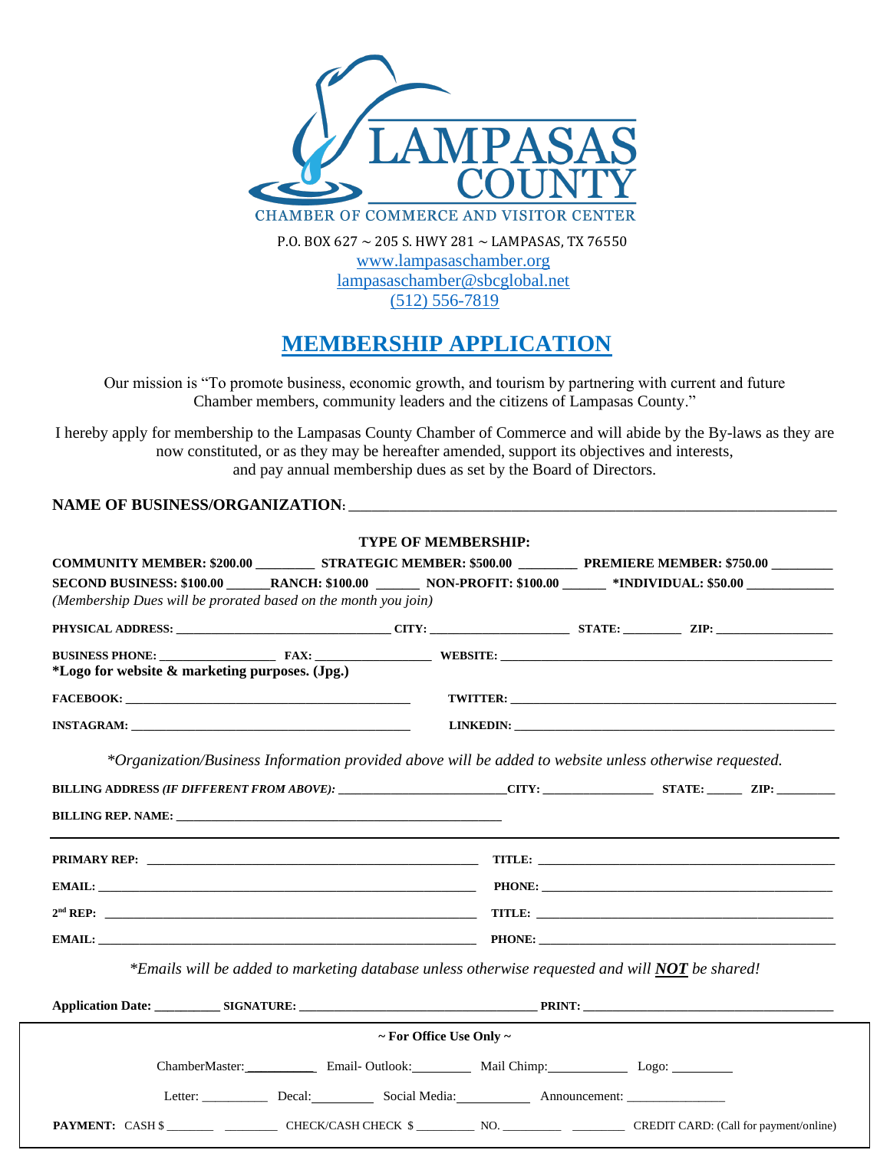

(512) 556-7819

## **MEMBERSHIP APPLICATION**

Our mission is "To promote business, economic growth, and tourism by partnering with current and future Chamber members, community leaders and the citizens of Lampasas County."

I hereby apply for membership to the Lampasas County Chamber of Commerce and will abide by the By-laws as they are now constituted, or as they may be hereafter amended, support its objectives and interests, and pay annual membership dues as set by the Board of Directors.

**NAME OF BUSINESS/ORGANIZATION:** 

|                                                                                                                                                                                                                                |                                                                                                                  | <b>TYPE OF MEMBERSHIP:</b>        |  |                                                                                                                     |  |
|--------------------------------------------------------------------------------------------------------------------------------------------------------------------------------------------------------------------------------|------------------------------------------------------------------------------------------------------------------|-----------------------------------|--|---------------------------------------------------------------------------------------------------------------------|--|
|                                                                                                                                                                                                                                | COMMUNITY MEMBER: \$200.00 ____________ STRATEGIC MEMBER: \$500.00 __________ PREMIERE MEMBER: \$750.00 ________ |                                   |  | SECOND BUSINESS: \$100.00 RANCH: \$100.00 NON-PROFIT: \$100.00 \Resource \$1NDIVIDUAL: \$50.00 \Resource 850.00 \Re |  |
|                                                                                                                                                                                                                                |                                                                                                                  |                                   |  |                                                                                                                     |  |
| (Membership Dues will be prorated based on the month you join)                                                                                                                                                                 |                                                                                                                  |                                   |  |                                                                                                                     |  |
|                                                                                                                                                                                                                                |                                                                                                                  |                                   |  |                                                                                                                     |  |
| BUSINESS PHONE: FAX: FAX: WEBSITE: WEBSITE: WEBSITE: WEBSITE: PHONE 2014                                                                                                                                                       |                                                                                                                  |                                   |  |                                                                                                                     |  |
| *Logo for website & marketing purposes. (Jpg.)                                                                                                                                                                                 |                                                                                                                  |                                   |  |                                                                                                                     |  |
|                                                                                                                                                                                                                                |                                                                                                                  |                                   |  | <b>TWITTER:</b> No. 2006. TWITTER:                                                                                  |  |
|                                                                                                                                                                                                                                |                                                                                                                  |                                   |  |                                                                                                                     |  |
| *Organization/Business Information provided above will be added to website unless otherwise requested.                                                                                                                         |                                                                                                                  |                                   |  |                                                                                                                     |  |
| BILLING ADDRESS (IF DIFFERENT FROM ABOVE): CITY: CITY: STATE: ZIP: ZIP:                                                                                                                                                        |                                                                                                                  |                                   |  |                                                                                                                     |  |
| <b>BILLING REP. NAME:</b>                                                                                                                                                                                                      |                                                                                                                  |                                   |  |                                                                                                                     |  |
|                                                                                                                                                                                                                                |                                                                                                                  |                                   |  |                                                                                                                     |  |
|                                                                                                                                                                                                                                |                                                                                                                  |                                   |  |                                                                                                                     |  |
|                                                                                                                                                                                                                                |                                                                                                                  |                                   |  |                                                                                                                     |  |
|                                                                                                                                                                                                                                |                                                                                                                  |                                   |  |                                                                                                                     |  |
| EMAIL: PHONE: PHONE: PHONE: PHONE: PHONE: PHONE: PHONE: PHONE: PHONE: PHONE: PHONE: PHONE: PHONE: PHONE: PHONE: PHONE: PHONE: PHONE: PHONE: PHONE: PHONE: PHONE: PHONE: PHONE: PHONE: PHONE: PHONE: PHONE: PHONE: PHONE: PHONE |                                                                                                                  |                                   |  |                                                                                                                     |  |
|                                                                                                                                                                                                                                | *Emails will be added to marketing database unless otherwise requested and will NOT be shared!                   |                                   |  |                                                                                                                     |  |
|                                                                                                                                                                                                                                |                                                                                                                  |                                   |  |                                                                                                                     |  |
|                                                                                                                                                                                                                                |                                                                                                                  | $\sim$ For Office Use Only $\sim$ |  |                                                                                                                     |  |
|                                                                                                                                                                                                                                |                                                                                                                  |                                   |  |                                                                                                                     |  |
|                                                                                                                                                                                                                                |                                                                                                                  |                                   |  |                                                                                                                     |  |
|                                                                                                                                                                                                                                |                                                                                                                  |                                   |  |                                                                                                                     |  |